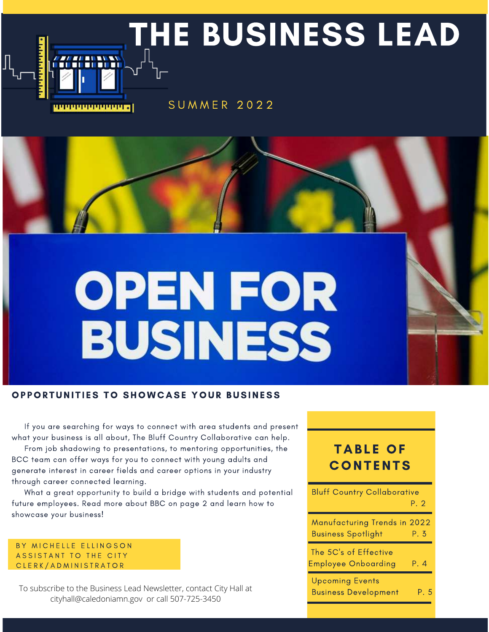

# OPEN FOR BUSINESS

#### OPPORTUNITIES TO SHOWCASE YOUR BUSINESS

 If you are searching for ways to connect with area students and present what your business is all about, The Bluff Country Collaborative can help.

 From job shadowing to presentations, to mentoring opportunities, the BCC team can offer ways for you to connect with young adults and generate interest in career fields and career options in your industry through career connected learning.

 What a great opportunity to build a bridge with students and potential future employees. Read more about BBC on page 2 and learn how to showcase your business!

BY MICHELLE ELLINGSON ASSISTANT TO THE CITY CLERK/ADMINISTRATOR

To subscribe to the Business Lead Newsletter, contact City Hall at cityhall@caledoniamn.gov or call 507-725-3450

## **TABLE OF CONTENTS**

| <b>Bluff Country Collaborative</b>                        | P. 2 |
|-----------------------------------------------------------|------|
| Manufacturing Trends in 2022<br><b>Business Spotlight</b> | P. 3 |
| The 5C's of Effective<br><b>Employee Onboarding</b>       | P. 4 |
| <b>Upcoming Events</b><br><b>Business Development</b>     | P. 5 |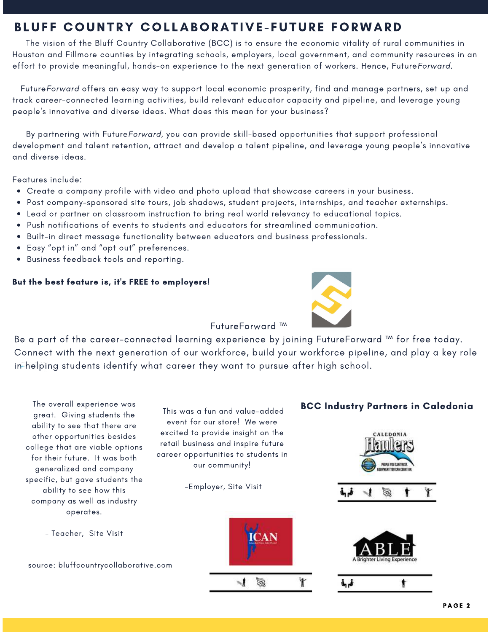## BLUFF COUNTRY COLLABORATIVE-FUTURE FORWARD

 The vision of the Bluff Country Collaborative (BCC) is to ensure the economic vitality of rural communities in Houston and Fillmore counties by integrating schools, employers, local government, and community resources in an effort to provide meaningful, hands-on experience to the next generation of workers. Hence, FutureForward.

 FutureForward offers an easy way to support local economic prosperity, find and manage partners, set up and track career-connected learning activities, build relevant educator capacity and pipeline, and leverage young people's innovative and diverse ideas. What does this mean for your business?

 By partnering with FutureForward, you can provide skill-based opportunities that support professional development and talent retention, attract and develop a talent pipeline, and leverage young people's innovative and diverse ideas.

Features include:

- Create a company profile with video and photo upload that showcase careers in your business.
- Post company-sponsored site tours, job shadows, student projects, internships, and teacher externships.
- Lead or partner on classroom instruction to bring real world relevancy to educational topics.
- Push notifications of events to students and educators for streamlined communication.
- Built-in direct message functionality between educators and business professionals.
- Easy "opt in" and "opt out" preferences.
- Business feedback tools and reporting.

#### But the best feature is, it's FREE to employers!



FutureForward ™

Be a part of the career-connected learning experience by joining FutureForward ™ for free today. Connect with the next generation of our workforce, build your workforce pipeline, and play a key role in helping students identify what career they want to pursue after high school.

The overall experience was great. Giving students the ability to see that there are other opportunities besides college that are viable options for their future. It was both generalized and company specific, but gave students the ability to see how this company as well as industry operates.

- Teacher, Site Visit

source: bluffcountrycollaborative.com



-Employer, Site Visit



## BCC Industry Partners in Caledonia





فرتى

ŧ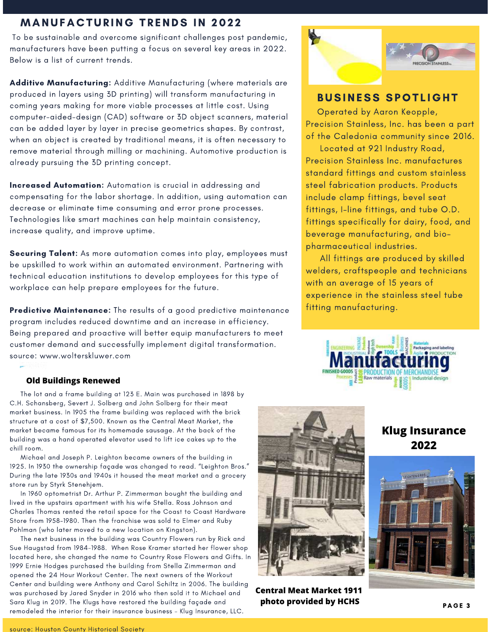### **MANUFACTURING TRENDS IN 2022**

 To be sustainable and overcome significant challenges post pandemic, manufacturers have been putting a focus on several key areas in 2022. Below is a list of current trends.

Additive Manufacturing: Additive Manufacturing (where materials are produced in layers using 3D printing) will transform manufacturing in coming years making for more viable processes at little cost. Using computer-aided-design (CAD) software or 3D object scanners, material can be added layer by layer in precise geometrics shapes. By contrast, when an object is created by traditional means, it is often necessary to remove material through milling or machining. Automotive production is already pursuing the 3D printing concept.

Increased Automation: Automation is crucial in addressing and compensating for the labor shortage. In addition, using automation can decrease or eliminate time consuming and error prone processes. Technologies like smart machines can help maintain consistency, increase quality, and improve uptime.

Securing Talent: As more automation comes into play, employees must be upskilled to work within an automated environment. Partnering with technical education institutions to develop employees for this type of workplace can help prepare employees for the future.

Predictive Maintenance: The results of a good predictive maintenance program includes reduced downtime and an increase in efficiency. Being prepared and proactive will better equip manufacturers to meet customer demand and successfully implement digital transformation. source: www.wolterskluwer.com

#### **Old Buildings Renewed**

 The lot and a frame building at 123 E. Main was purchased in 1898 by C.H. Schansberg, Severt J. Solberg and John Solberg for their meat market business. In 1905 the frame building was replaced with the brick structure at a cost of \$7,500. Known as the Central Meat Market, the market became famous for its homemade sausage. At the back of the building was a hand operated elevator used to lift ice cakes up to the chill room.

 Michael and Joseph P. Leighton became owners of the building in 1925. In 1930 the ownership façade was changed to read. "Leighton Bros." During the late 1930s and 1940s it housed the meat market and a grocery store run by Styrk Stenehjem.

 In 1960 optometrist Dr. Arthur P. Zimmerman bought the building and lived in the upstairs apartment with his wife Stella. Ross Johnson and Charles Thomas rented the retail space for the Coast to Coast Hardware Store from 1958-1980. Then the franchise was sold to Elmer and Ruby Pohlman (who later moved to a new location on Kingston).

 The next business in the building was Country Flowers run by Rick and Sue Haugstad from 1984-1988. When Rose Kramer started her flower shop located here, she changed the name to Country Rose Flowers and Gifts. In 1999 Ernie Hodges purchased the building from Stella Zimmerman and opened the 24 Hour Workout Center. The next owners of the Workout Center and building were Anthony and Carol Schiltz in 2006. The building was purchased by Jared Snyder in 2016 who then sold it to Michael and Sara Klug in 2019. The Klugs have restored the building façade and remodeled the interior for their insurance business – Klug Insurance, LLC.



**Central Meat Market 1911 photo provided by HCHS**



## **BUSINESS SPOTLIGHT**

 Operated by Aaron Keopple, Precision Stainless, Inc. has been a part of the Caledonia community since 2016.

 Located at 921 Industry Road, Precision Stainless Inc. manufactures standard fittings and custom stainless steel fabrication products. Products include clamp fittings, bevel seat fittings, I-line fittings, and tube O.D. fittings specifically for dairy, food, and beverage manufacturing, and biopharmaceutical industries.

 All fittings are produced by skilled welders, craftspeople and technicians with an average of 15 years of experience in the stainless steel tube fitting manufacturing.



## **Klug Insurance 2022**

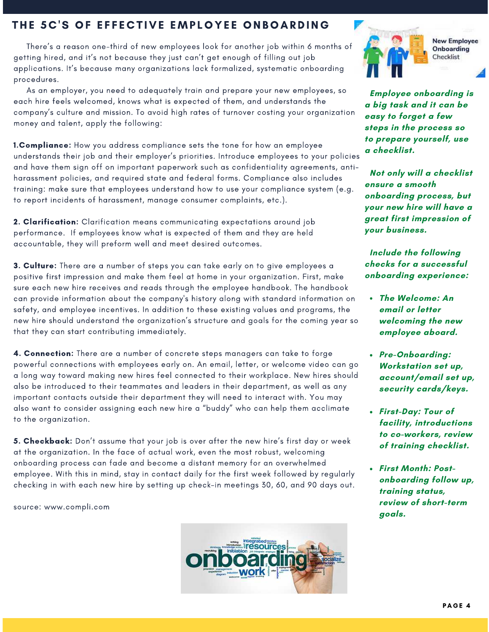## THE 5C'S OF EFFECTIVE EMPLOYEE ONBOARDING

 [There's a reason one-third of new employees look for another job within 6 months of](https://www.compli.com/blog/the-costs-of-poor-onboarding-what-you-lose-when-people-jump-ship/) getting hired, and it's not because they just can't get enough of filling out job applications. It's because many organizations lack formalized, systematic onboarding procedures.

 As an employer, you need to adequately train and prepare your new employees, so each hire feels welcomed, knows what is expected of them, and understands the company's culture and mission. To avoid high rates of turnover costing your organization money and talent, apply the following:

**1. Compliance:** How you address compliance sets the tone for how an employee understands their job and their employer's priorities. Introduce employees to your policies and have them sign off on important paperwork such as confidentiality agreements, antiharassment policies, and required state and federal forms. Compliance also includes training: make sure that employees understand how to use your compliance system (e.g. to report incidents of harassment, manage consumer complaints, etc.).

2. Clarification: Clarification means communicating expectations around job performance. If employees know what is expected of them and they are held accountable, they will preform well and meet desired outcomes.

**3. Culture:** There are a number of steps you can take early on to give employees a positive first impression and make them feel at home in your organization. First, make sure each new hire receives and reads through the employee handbook. The handbook can provide information about the company's history along with standard information on safety, and employee incentives. In addition to these existing values and programs, the new hire should understand the organization's structure and goals for the coming year so that they can start contributing immediately.

4. Connection: There are a number of concrete steps managers can take to forge powerful connections with employees early on. An email, letter, or welcome video can go a long way toward making new hires feel connected to their workplace. New hires should also be introduced to their teammates and leaders in their department, as well as any important contacts outside their department they will need to interact with. You may also want to consider assigning each new hire a "buddy" who can help them acclimate to the organization.

5. Checkback: Don't assume that your job is over after the new hire's first day or week at the organization. In the face of actual work, even the most robust, welcoming onboarding process can fade and become a distant memory for an overwhelmed employee. With this in mind, stay in contact daily for the first week followed by regularly checking in with each new hire by setting up check-in meetings 30, 60, and 90 days out.

source: www.compli.com





**New Employee Onboarding** Checklist

 **Employee onboarding is a big task and it can be easy to forget a few steps in the process so to prepare yourself, use a checklist.** 

 **Not only will a checklist ensure a smooth onboarding process, but your new hire will have a great first impression of your business.** 

 **Include the following checks for a successful onboarding experience:** 

- **The Welcome: An email or letter welcoming the new employee aboard.**
- **Pre-Onboarding: Workstation set up, account/email set up, security cards/keys.**
- **First-Day: Tour of facility, introductions to co-workers, review of training checklist.**
- **First Month: Postonboarding follow up, training status, review of short-term goals.**